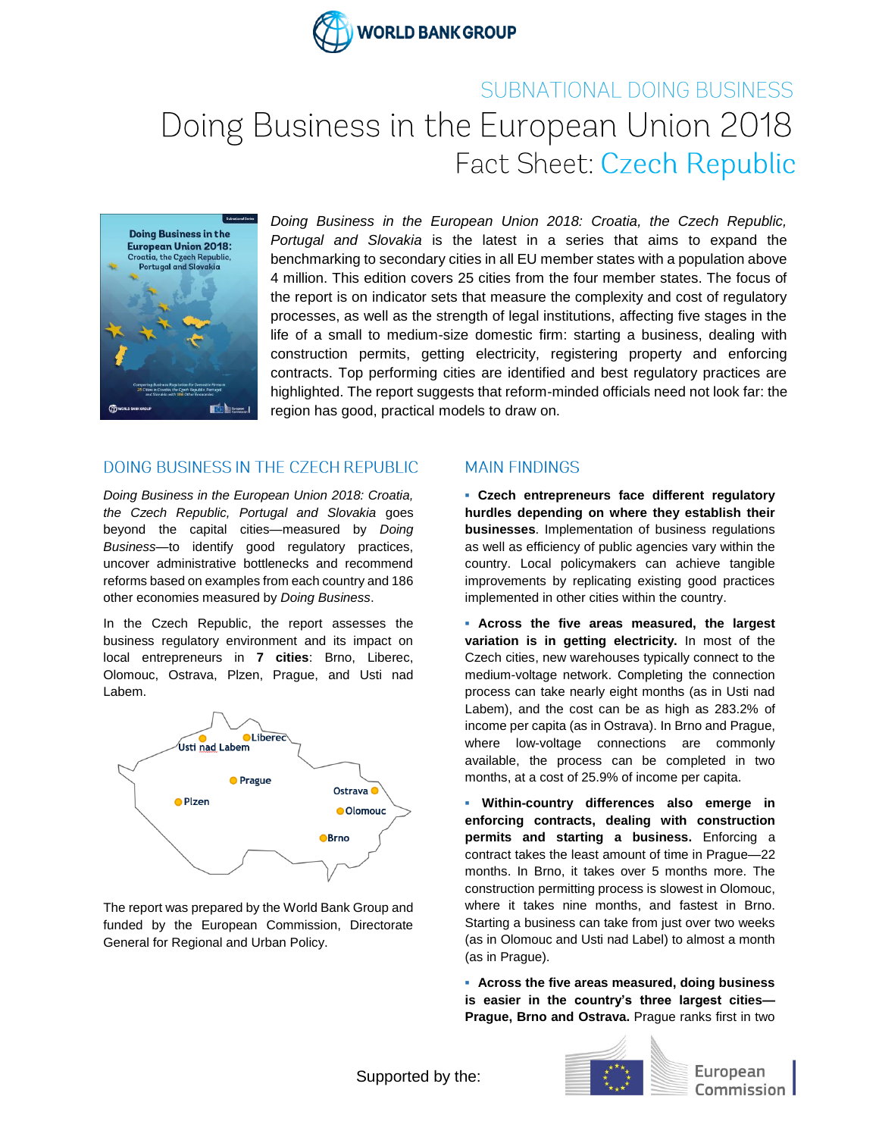

## SUBNATIONAL DOING BUSINESS Doing Business in the European Union 2018 Fact Sheet: Czech Republic



*Doing Business in the European Union 2018: Croatia, the Czech Republic, Portugal and Slovakia* is the latest in a series that aims to expand the benchmarking to secondary cities in all EU member states with a population above 4 million. This edition covers 25 cities from the four member states. The focus of the report is on indicator sets that measure the complexity and cost of regulatory processes, as well as the strength of legal institutions, affecting five stages in the life of a small to medium-size domestic firm: starting a business, dealing with construction permits, getting electricity, registering property and enforcing contracts. Top performing cities are identified and best regulatory practices are highlighted. The report suggests that reform-minded officials need not look far: the region has good, practical models to draw on.

## DOING BUSINESS IN THE CZECH REPUBLIC

*Doing Business in the European Union 2018: Croatia, the Czech Republic, Portugal and Slovakia* goes beyond the capital cities—measured by *Doing Business—*to identify good regulatory practices, uncover administrative bottlenecks and recommend reforms based on examples from each country and 186 other economies measured by *Doing Business*.

In the Czech Republic, the report assesses the business regulatory environment and its impact on local entrepreneurs in **7 cities**: Brno, Liberec, Olomouc, Ostrava, Plzen, Prague, and Usti nad Labem.



The report was prepared by the World Bank Group and funded by the European Commission, Directorate General for Regional and Urban Policy.

## **MAIN FINDINGS**

**▪ Czech entrepreneurs face different regulatory hurdles depending on where they establish their businesses**. Implementation of business regulations as well as efficiency of public agencies vary within the country. Local policymakers can achieve tangible improvements by replicating existing good practices implemented in other cities within the country.

**▪ Across the five areas measured, the largest variation is in getting electricity.** In most of the Czech cities, new warehouses typically connect to the medium-voltage network. Completing the connection process can take nearly eight months (as in Usti nad Labem), and the cost can be as high as 283.2% of income per capita (as in Ostrava). In Brno and Prague, where low-voltage connections are commonly available, the process can be completed in two months, at a cost of 25.9% of income per capita.

**▪ Within-country differences also emerge in enforcing contracts, dealing with construction permits and starting a business.** Enforcing a contract takes the least amount of time in Prague—22 months. In Brno, it takes over 5 months more. The construction permitting process is slowest in Olomouc, where it takes nine months, and fastest in Brno. Starting a business can take from just over two weeks (as in Olomouc and Usti nad Label) to almost a month (as in Prague).

**▪ Across the five areas measured, doing business is easier in the country's three largest cities— Prague, Brno and Ostrava.** Prague ranks first in two



European Commission